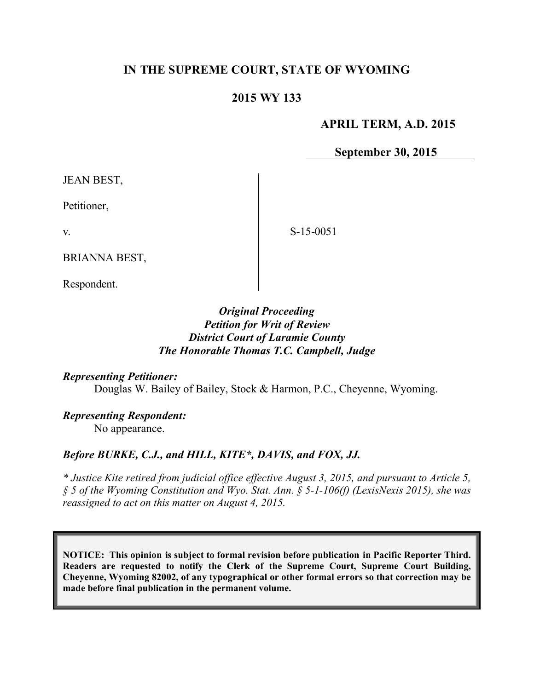# **IN THE SUPREME COURT, STATE OF WYOMING**

## **2015 WY 133**

#### **APRIL TERM, A.D. 2015**

**September 30, 2015**

JEAN BEST,

Petitioner,

v.

S-15-0051

BRIANNA BEST,

Respondent.

## *Original Proceeding Petition for Writ of Review District Court of Laramie County The Honorable Thomas T.C. Campbell, Judge*

## *Representing Petitioner:*

Douglas W. Bailey of Bailey, Stock & Harmon, P.C., Cheyenne, Wyoming.

*Representing Respondent:* No appearance.

## *Before BURKE, C.J., and HILL, KITE\*, DAVIS, and FOX, JJ.*

*\* Justice Kite retired from judicial office effective August 3, 2015, and pursuant to Article 5, § 5 of the Wyoming Constitution and Wyo. Stat. Ann. § 5-1-106(f) (LexisNexis 2015), she was reassigned to act on this matter on August 4, 2015.*

**NOTICE: This opinion is subject to formal revision before publication in Pacific Reporter Third. Readers are requested to notify the Clerk of the Supreme Court, Supreme Court Building, Cheyenne, Wyoming 82002, of any typographical or other formal errors so that correction may be made before final publication in the permanent volume.**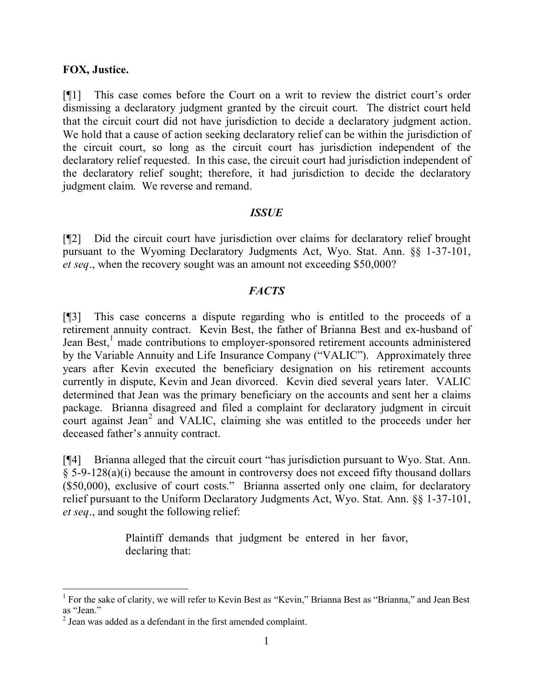#### **FOX, Justice.**

[¶1] This case comes before the Court on a writ to review the district court's order dismissing a declaratory judgment granted by the circuit court. The district court held that the circuit court did not have jurisdiction to decide a declaratory judgment action. We hold that a cause of action seeking declaratory relief can be within the jurisdiction of the circuit court, so long as the circuit court has jurisdiction independent of the declaratory relief requested. In this case, the circuit court had jurisdiction independent of the declaratory relief sought; therefore, it had jurisdiction to decide the declaratory judgment claim. We reverse and remand.

#### *ISSUE*

[¶2] Did the circuit court have jurisdiction over claims for declaratory relief brought pursuant to the Wyoming Declaratory Judgments Act, Wyo. Stat. Ann. §§ 1-37-101, *et seq*., when the recovery sought was an amount not exceeding \$50,000?

## *FACTS*

[¶3] This case concerns a dispute regarding who is entitled to the proceeds of a retirement annuity contract. Kevin Best, the father of Brianna Best and ex-husband of Jean Best,<sup>1</sup> made contributions to employer-sponsored retirement accounts administered by the Variable Annuity and Life Insurance Company ("VALIC"). Approximately three years after Kevin executed the beneficiary designation on his retirement accounts currently in dispute, Kevin and Jean divorced. Kevin died several years later. VALIC determined that Jean was the primary beneficiary on the accounts and sent her a claims package. Brianna disagreed and filed a complaint for declaratory judgment in circuit court against Jean<sup>2</sup> and VALIC, claiming she was entitled to the proceeds under her deceased father's annuity contract.

[¶4] Brianna alleged that the circuit court "has jurisdiction pursuant to Wyo. Stat. Ann.  $\S$  5-9-128(a)(i) because the amount in controversy does not exceed fifty thousand dollars (\$50,000), exclusive of court costs." Brianna asserted only one claim, for declaratory relief pursuant to the Uniform Declaratory Judgments Act, Wyo. Stat. Ann. §§ 1-37-101, *et seq*., and sought the following relief:

> Plaintiff demands that judgment be entered in her favor, declaring that:

 <sup>1</sup> For the sake of clarity, we will refer to Kevin Best as "Kevin," Brianna Best as "Brianna," and Jean Best as "Jean."

<sup>&</sup>lt;sup>2</sup> Jean was added as a defendant in the first amended complaint.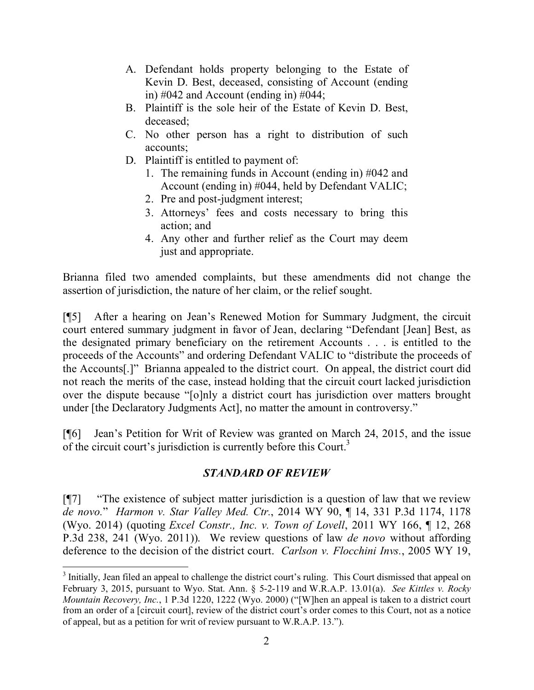- A. Defendant holds property belonging to the Estate of Kevin D. Best, deceased, consisting of Account (ending in)  $\#042$  and Account (ending in)  $\#044$ ;
- B. Plaintiff is the sole heir of the Estate of Kevin D. Best, deceased;
- C. No other person has a right to distribution of such accounts;
- D. Plaintiff is entitled to payment of:
	- 1. The remaining funds in Account (ending in) #042 and Account (ending in) #044, held by Defendant VALIC;
	- 2. Pre and post-judgment interest;
	- 3. Attorneys' fees and costs necessary to bring this action; and
	- 4. Any other and further relief as the Court may deem just and appropriate.

Brianna filed two amended complaints, but these amendments did not change the assertion of jurisdiction, the nature of her claim, or the relief sought.

[¶5] After a hearing on Jean's Renewed Motion for Summary Judgment, the circuit court entered summary judgment in favor of Jean, declaring "Defendant [Jean] Best, as the designated primary beneficiary on the retirement Accounts . . . is entitled to the proceeds of the Accounts" and ordering Defendant VALIC to "distribute the proceeds of the Accounts[.]" Brianna appealed to the district court. On appeal, the district court did not reach the merits of the case, instead holding that the circuit court lacked jurisdiction over the dispute because "[o]nly a district court has jurisdiction over matters brought under [the Declaratory Judgments Act], no matter the amount in controversy."

[¶6] Jean's Petition for Writ of Review was granted on March 24, 2015, and the issue of the circuit court's jurisdiction is currently before this Court.<sup>3</sup>

# *STANDARD OF REVIEW*

[¶7] "The existence of subject matter jurisdiction is a question of law that we review *de novo.*" *Harmon v. Star Valley Med. Ctr.*, 2014 WY 90, ¶ 14, 331 P.3d 1174, 1178 (Wyo. 2014) (quoting *Excel Constr., Inc. v. Town of Lovell*, 2011 WY 166, ¶ 12, 268 P.3d 238, 241 (Wyo. 2011)). We review questions of law *de novo* without affording deference to the decision of the district court. *Carlson v. Flocchini Invs.*, 2005 WY 19,

 <sup>3</sup> Initially, Jean filed an appeal to challenge the district court's ruling. This Court dismissed that appeal on February 3, 2015, pursuant to Wyo. Stat. Ann. § 5-2-119 and W.R.A.P. 13.01(a). *See Kittles v. Rocky Mountain Recovery, Inc.*, 1 P.3d 1220, 1222 (Wyo. 2000) ("[W]hen an appeal is taken to a district court from an order of a [circuit court], review of the district court's order comes to this Court, not as a notice of appeal, but as a petition for writ of review pursuant to W.R.A.P. 13.").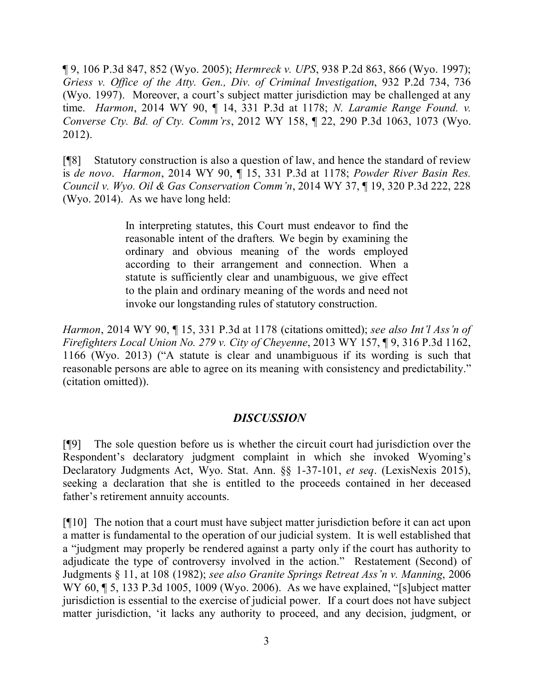¶ 9, 106 P.3d 847, 852 (Wyo. 2005); *Hermreck v. UPS*, 938 P.2d 863, 866 (Wyo. 1997); *Griess v. Office of the Atty. Gen., Div. of Criminal Investigation*, 932 P.2d 734, 736 (Wyo. 1997). Moreover, a court's subject matter jurisdiction may be challenged at any time. *Harmon*, 2014 WY 90, ¶ 14, 331 P.3d at 1178; *N. Laramie Range Found. v. Converse Cty. Bd. of Cty. Comm'rs*, 2012 WY 158, ¶ 22, 290 P.3d 1063, 1073 (Wyo. 2012).

[¶8] Statutory construction is also a question of law, and hence the standard of review is *de novo*. *Harmon*, 2014 WY 90, ¶ 15, 331 P.3d at 1178; *Powder River Basin Res. Council v. Wyo. Oil & Gas Conservation Comm'n*, 2014 WY 37, ¶ 19, 320 P.3d 222, 228 (Wyo. 2014). As we have long held:

> In interpreting statutes, this Court must endeavor to find the reasonable intent of the drafters*.* We begin by examining the ordinary and obvious meaning of the words employed according to their arrangement and connection. When a statute is sufficiently clear and unambiguous, we give effect to the plain and ordinary meaning of the words and need not invoke our longstanding rules of statutory construction.

*Harmon*, 2014 WY 90, ¶ 15, 331 P.3d at 1178 (citations omitted); *see also Int'l Ass'n of Firefighters Local Union No. 279 v. City of Cheyenne*, 2013 WY 157, ¶ 9, 316 P.3d 1162, 1166 (Wyo. 2013) ("A statute is clear and unambiguous if its wording is such that reasonable persons are able to agree on its meaning with consistency and predictability." (citation omitted)).

# *DISCUSSION*

[¶9] The sole question before us is whether the circuit court had jurisdiction over the Respondent's declaratory judgment complaint in which she invoked Wyoming's Declaratory Judgments Act, Wyo. Stat. Ann. §§ 1-37-101, *et seq*. (LexisNexis 2015), seeking a declaration that she is entitled to the proceeds contained in her deceased father's retirement annuity accounts.

[¶10] The notion that a court must have subject matter jurisdiction before it can act upon a matter is fundamental to the operation of our judicial system. It is well established that a "judgment may properly be rendered against a party only if the court has authority to adjudicate the type of controversy involved in the action." Restatement (Second) of Judgments § 11, at 108 (1982); *see also Granite Springs Retreat Ass'n v. Manning*, 2006 WY 60, ¶ 5, 133 P.3d 1005, 1009 (Wyo. 2006). As we have explained, "[s]ubject matter jurisdiction is essential to the exercise of judicial power. If a court does not have subject matter jurisdiction, 'it lacks any authority to proceed, and any decision, judgment, or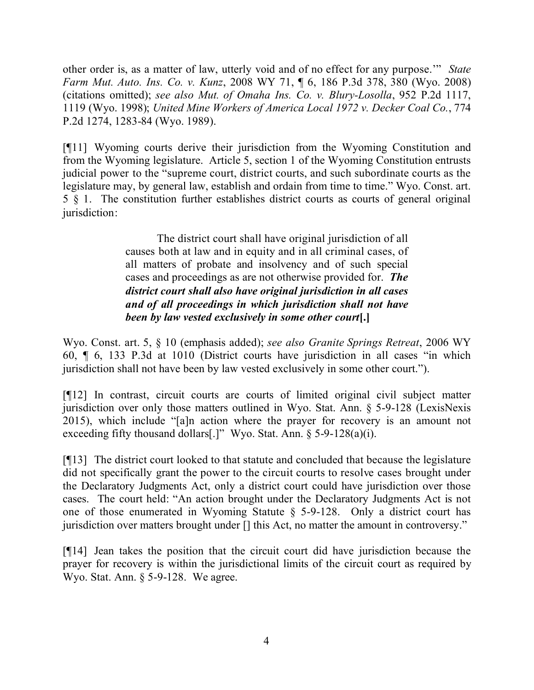other order is, as a matter of law, utterly void and of no effect for any purpose.'" *State Farm Mut. Auto. Ins. Co. v. Kunz*, 2008 WY 71, ¶ 6, 186 P.3d 378, 380 (Wyo. 2008) (citations omitted); *see also Mut. of Omaha Ins. Co. v. Blury-Losolla*, 952 P.2d 1117, 1119 (Wyo. 1998); *United Mine Workers of America Local 1972 v. Decker Coal Co.*, 774 P.2d 1274, 1283-84 (Wyo. 1989).

[¶11] Wyoming courts derive their jurisdiction from the Wyoming Constitution and from the Wyoming legislature. Article 5, section 1 of the Wyoming Constitution entrusts judicial power to the "supreme court, district courts, and such subordinate courts as the legislature may, by general law, establish and ordain from time to time." Wyo. Const. art. 5 § 1. The constitution further establishes district courts as courts of general original jurisdiction:

> The district court shall have original jurisdiction of all causes both at law and in equity and in all criminal cases, of all matters of probate and insolvency and of such special cases and proceedings as are not otherwise provided for. *The district court shall also have original jurisdiction in all cases and of all proceedings in which jurisdiction shall not have been by law vested exclusively in some other court***[.]**

Wyo. Const. art. 5, § 10 (emphasis added); *see also Granite Springs Retreat*, 2006 WY 60, ¶ 6, 133 P.3d at 1010 (District courts have jurisdiction in all cases "in which jurisdiction shall not have been by law vested exclusively in some other court.").

[¶12] In contrast, circuit courts are courts of limited original civil subject matter jurisdiction over only those matters outlined in Wyo. Stat. Ann. § 5-9-128 (LexisNexis 2015), which include "[a]n action where the prayer for recovery is an amount not exceeding fifty thousand dollars[.]" Wyo. Stat. Ann.  $\S$  5-9-128(a)(i).

[¶13] The district court looked to that statute and concluded that because the legislature did not specifically grant the power to the circuit courts to resolve cases brought under the Declaratory Judgments Act, only a district court could have jurisdiction over those cases. The court held: "An action brought under the Declaratory Judgments Act is not one of those enumerated in Wyoming Statute § 5-9-128. Only a district court has jurisdiction over matters brought under [] this Act, no matter the amount in controversy."

[¶14] Jean takes the position that the circuit court did have jurisdiction because the prayer for recovery is within the jurisdictional limits of the circuit court as required by Wyo. Stat. Ann. § 5-9-128. We agree.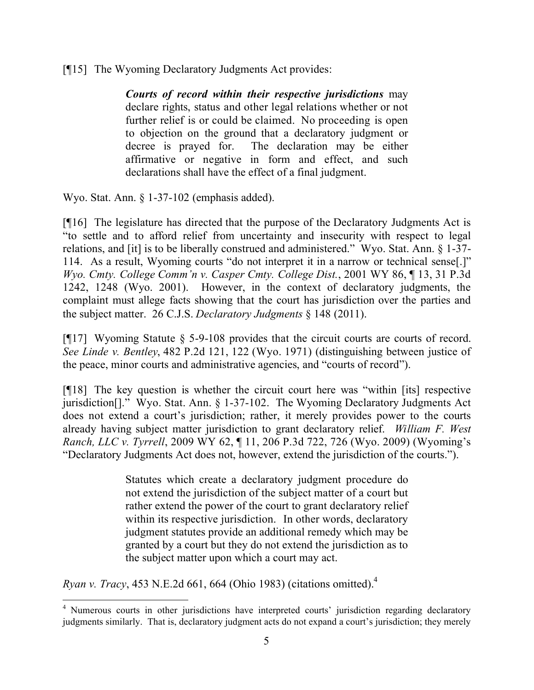[¶15] The Wyoming Declaratory Judgments Act provides:

*Courts of record within their respective jurisdictions* may declare rights, status and other legal relations whether or not further relief is or could be claimed. No proceeding is open to objection on the ground that a declaratory judgment or decree is prayed for. The declaration may be either affirmative or negative in form and effect, and such declarations shall have the effect of a final judgment.

Wyo. Stat. Ann. § 1-37-102 (emphasis added).

[¶16] The legislature has directed that the purpose of the Declaratory Judgments Act is "to settle and to afford relief from uncertainty and insecurity with respect to legal relations, and [it] is to be liberally construed and administered." Wyo. Stat. Ann. § 1-37- 114. As a result, Wyoming courts "do not interpret it in a narrow or technical sense[.]" *Wyo. Cmty. College Comm'n v. Casper Cmty. College Dist.*, 2001 WY 86, ¶ 13, 31 P.3d 1242, 1248 (Wyo. 2001). However, in the context of declaratory judgments, the complaint must allege facts showing that the court has jurisdiction over the parties and the subject matter. 26 C.J.S. *Declaratory Judgments* § 148 (2011).

[¶17] Wyoming Statute § 5-9-108 provides that the circuit courts are courts of record. *See Linde v. Bentley*, 482 P.2d 121, 122 (Wyo. 1971) (distinguishing between justice of the peace, minor courts and administrative agencies, and "courts of record").

[¶18] The key question is whether the circuit court here was "within [its] respective jurisdiction[]." Wyo. Stat. Ann. § 1-37-102. The Wyoming Declaratory Judgments Act does not extend a court's jurisdiction; rather, it merely provides power to the courts already having subject matter jurisdiction to grant declaratory relief. *William F. West Ranch, LLC v. Tyrrell*, 2009 WY 62, ¶ 11, 206 P.3d 722, 726 (Wyo. 2009) (Wyoming's "Declaratory Judgments Act does not, however, extend the jurisdiction of the courts.").

> Statutes which create a declaratory judgment procedure do not extend the jurisdiction of the subject matter of a court but rather extend the power of the court to grant declaratory relief within its respective jurisdiction. In other words, declaratory judgment statutes provide an additional remedy which may be granted by a court but they do not extend the jurisdiction as to the subject matter upon which a court may act.

*Ryan v. Tracy*, 453 N.E.2d 661, 664 (Ohio 1983) (citations omitted). 4

 <sup>4</sup> Numerous courts in other jurisdictions have interpreted courts' jurisdiction regarding declaratory judgments similarly. That is, declaratory judgment acts do not expand a court's jurisdiction; they merely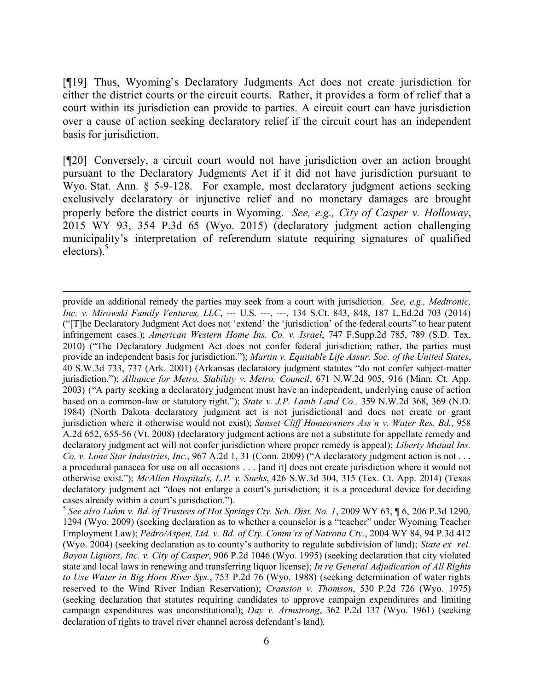[¶19] Thus, Wyoming's Declaratory Judgments Act does not create jurisdiction for either the district courts or the circuit courts. Rather, it provides a form of relief that a court within its jurisdiction can provide to parties. A circuit court can have jurisdiction over a cause of action seeking declaratory relief if the circuit court has an independent basis for jurisdiction.

[¶20] Conversely, a circuit court would not have jurisdiction over an action brought pursuant to the Declaratory Judgments Act if it did not have jurisdiction pursuant to Wyo. Stat. Ann. § 5-9-128. For example, most declaratory judgment actions seeking exclusively declaratory or injunctive relief and no monetary damages are brought properly before the district courts in Wyoming. *See, e.g., City of Casper v. Holloway*, 2015 WY 93, 354 P.3d 65 (Wyo. 2015) (declaratory judgment action challenging municipality's interpretation of referendum statute requiring signatures of qualified electors).<sup>5</sup>

 provide an additional remedy the parties may seek from a court with jurisdiction. *See, e.g., Medtronic, Inc. v. Mirowski Family Ventures, LLC*, --- U.S. ---, ---, 134 S.Ct. 843, 848, 187 L.Ed.2d 703 (2014) ("[T]he Declaratory Judgment Act does not 'extend' the 'jurisdiction' of the federal courts" to hear patent infringement cases.); *American Western Home Ins. Co. v. Israel*, 747 F.Supp.2d 785, 789 (S.D. Tex. 2010) ("The Declaratory Judgment Act does not confer federal jurisdiction; rather, the parties must provide an independent basis for jurisdiction."); *Martin v. Equitable Life Assur. Soc. of the United States*, 40 S.W.3d 733, 737 (Ark. 2001) (Arkansas declaratory judgment statutes "do not confer subject-matter jurisdiction."); *Alliance for Metro. Stability v. Metro. Council*, 671 N.W.2d 905, 916 (Minn. Ct. App. 2003) ("A party seeking a declaratory judgment must have an independent, underlying cause of action based on a common-law or statutory right."); *State v. J.P. Lamb Land Co.,* 359 N.W.2d 368, 369 (N.D. 1984) (North Dakota declaratory judgment act is not jurisdictional and does not create or grant jurisdiction where it otherwise would not exist); *Sunset Cliff Homeowners Ass'n v. Water Res. Bd.*, 958 A.2d 652, 655-56 (Vt. 2008) (declaratory judgment actions are not a substitute for appellate remedy and declaratory judgment act will not confer jurisdiction where proper remedy is appeal); *Liberty Mutual Ins. Co. v. Lone Star Industries, Inc.*, 967 A.2d 1, 31 (Conn. 2009) ("A declaratory judgment action is not . . . a procedural panacea for use on all occasions . . . [and it] does not create jurisdiction where it would not otherwise exist."); *McAllen Hospitals, L.P. v. Suehs*, 426 S.W.3d 304, 315 (Tex. Ct. App. 2014) (Texas declaratory judgment act "does not enlarge a court's jurisdiction; it is a procedural device for deciding cases already within a court's jurisdiction.").

<sup>5</sup> *See also Luhm v. Bd. of Trustees of Hot Springs Cty. Sch. Dist. No. 1*, 2009 WY 63, ¶ 6, 206 P.3d 1290, 1294 (Wyo. 2009) (seeking declaration as to whether a counselor is a "teacher" under Wyoming Teacher Employment Law); *Pedro/Aspen, Ltd. v. Bd. of Cty. Comm'rs of Natrona Cty.*, 2004 WY 84, 94 P.3d 412 (Wyo. 2004) (seeking declaration as to county's authority to regulate subdivision of land); *State ex rel. Bayou Liquors, Inc. v. City of Casper*, 906 P.2d 1046 (Wyo. 1995) (seeking declaration that city violated state and local laws in renewing and transferring liquor license); *In re General Adjudication of All Rights to Use Water in Big Horn River Sys.*, 753 P.2d 76 (Wyo. 1988) (seeking determination of water rights reserved to the Wind River Indian Reservation); *Cranston v. Thomson*, 530 P.2d 726 (Wyo. 1975) (seeking declaration that statutes requiring candidates to approve campaign expenditures and limiting campaign expenditures was unconstitutional); *Day v. Armstrong*, 362 P.2d 137 (Wyo. 1961) (seeking declaration of rights to travel river channel across defendant's land)*.*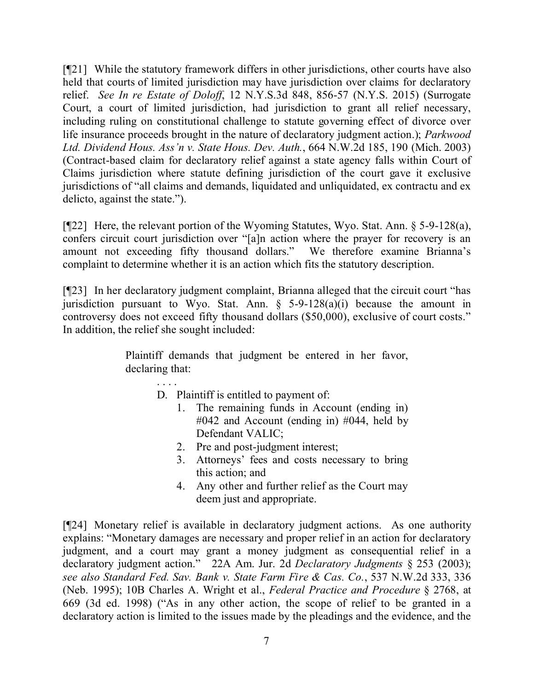[¶21] While the statutory framework differs in other jurisdictions, other courts have also held that courts of limited jurisdiction may have jurisdiction over claims for declaratory relief. *See In re Estate of Doloff*, 12 N.Y.S.3d 848, 856-57 (N.Y.S. 2015) (Surrogate Court, a court of limited jurisdiction, had jurisdiction to grant all relief necessary, including ruling on constitutional challenge to statute governing effect of divorce over life insurance proceeds brought in the nature of declaratory judgment action.); *Parkwood Ltd. Dividend Hous. Ass'n v. State Hous. Dev. Auth.*, 664 N.W.2d 185, 190 (Mich. 2003) (Contract-based claim for declaratory relief against a state agency falls within Court of Claims jurisdiction where statute defining jurisdiction of the court gave it exclusive jurisdictions of "all claims and demands, liquidated and unliquidated, ex contractu and ex delicto, against the state.").

[¶22] Here, the relevant portion of the Wyoming Statutes, Wyo. Stat. Ann. § 5-9-128(a), confers circuit court jurisdiction over "[a]n action where the prayer for recovery is an amount not exceeding fifty thousand dollars." We therefore examine Brianna's complaint to determine whether it is an action which fits the statutory description.

[¶23] In her declaratory judgment complaint, Brianna alleged that the circuit court "has jurisdiction pursuant to Wyo. Stat. Ann.  $\S$  5-9-128(a)(i) because the amount in controversy does not exceed fifty thousand dollars (\$50,000), exclusive of court costs." In addition, the relief she sought included:

> Plaintiff demands that judgment be entered in her favor, declaring that:

> > D. Plaintiff is entitled to payment of:

. . . .

- 1. The remaining funds in Account (ending in) #042 and Account (ending in) #044, held by Defendant VALIC;
- 2. Pre and post-judgment interest;
- 3. Attorneys' fees and costs necessary to bring this action; and
- 4. Any other and further relief as the Court may deem just and appropriate.

[¶24] Monetary relief is available in declaratory judgment actions. As one authority explains: "Monetary damages are necessary and proper relief in an action for declaratory judgment, and a court may grant a money judgment as consequential relief in a declaratory judgment action." 22A Am. Jur. 2d *Declaratory Judgments* § 253 (2003); *see also Standard Fed. Sav. Bank v. State Farm Fire & Cas. Co.*, 537 N.W.2d 333, 336 (Neb. 1995); 10B Charles A. Wright et al., *Federal Practice and Procedure* § 2768, at 669 (3d ed. 1998) ("As in any other action, the scope of relief to be granted in a declaratory action is limited to the issues made by the pleadings and the evidence, and the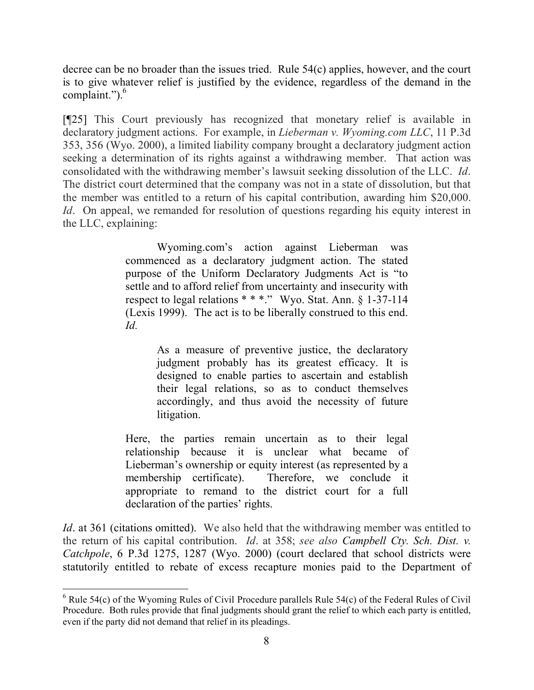decree can be no broader than the issues tried. Rule 54(c) applies, however, and the court is to give whatever relief is justified by the evidence, regardless of the demand in the complaint."). 6

[¶25] This Court previously has recognized that monetary relief is available in declaratory judgment actions. For example, in *Lieberman v. Wyoming.com LLC*, 11 P.3d 353, 356 (Wyo. 2000), a limited liability company brought a declaratory judgment action seeking a determination of its rights against a withdrawing member. That action was consolidated with the withdrawing member's lawsuit seeking dissolution of the LLC. *Id*. The district court determined that the company was not in a state of dissolution, but that the member was entitled to a return of his capital contribution, awarding him \$20,000. *Id.* On appeal, we remanded for resolution of questions regarding his equity interest in the LLC, explaining:

> Wyoming.com's action against Lieberman was commenced as a declaratory judgment action. The stated purpose of the Uniform Declaratory Judgments Act is "to settle and to afford relief from uncertainty and insecurity with respect to legal relations \* \* \*." Wyo. Stat. Ann. § 1-37-114 (Lexis 1999). The act is to be liberally construed to this end. *Id.*

> > As a measure of preventive justice, the declaratory judgment probably has its greatest efficacy. It is designed to enable parties to ascertain and establish their legal relations, so as to conduct themselves accordingly, and thus avoid the necessity of future litigation.

Here, the parties remain uncertain as to their legal relationship because it is unclear what became of Lieberman's ownership or equity interest (as represented by a membership certificate). Therefore, we conclude it appropriate to remand to the district court for a full declaration of the parties' rights.

*Id*. at 361 (citations omitted). We also held that the withdrawing member was entitled to the return of his capital contribution. *Id*. at 358; *see also Campbell Cty. Sch. Dist. v. Catchpole*, 6 P.3d 1275, 1287 (Wyo. 2000) (court declared that school districts were statutorily entitled to rebate of excess recapture monies paid to the Department of

 $6$  Rule 54(c) of the Wyoming Rules of Civil Procedure parallels Rule 54(c) of the Federal Rules of Civil Procedure. Both rules provide that final judgments should grant the relief to which each party is entitled, even if the party did not demand that relief in its pleadings.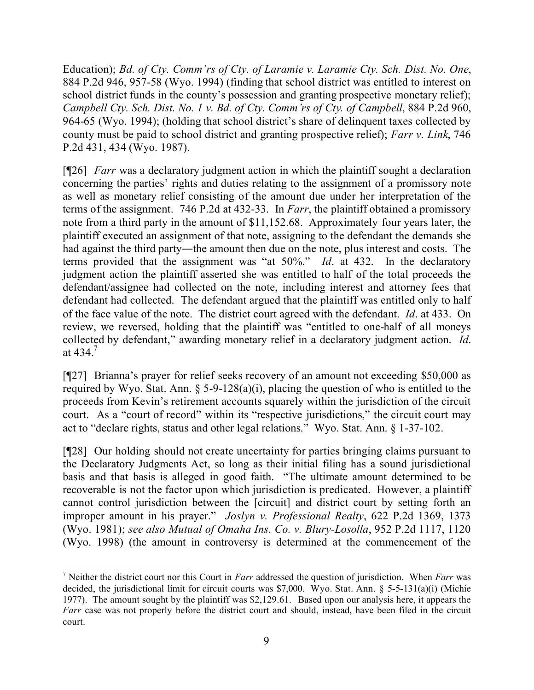Education); *Bd. of Cty. Comm'rs of Cty. of Laramie v. Laramie Cty. Sch. Dist. No. One*, 884 P.2d 946, 957-58 (Wyo. 1994) (finding that school district was entitled to interest on school district funds in the county's possession and granting prospective monetary relief); *Campbell Cty. Sch. Dist. No. 1 v. Bd. of Cty. Comm'rs of Cty. of Campbell*, 884 P.2d 960, 964-65 (Wyo. 1994); (holding that school district's share of delinquent taxes collected by county must be paid to school district and granting prospective relief); *Farr v. Link*, 746 P.2d 431, 434 (Wyo. 1987).

[¶26] *Farr* was a declaratory judgment action in which the plaintiff sought a declaration concerning the parties' rights and duties relating to the assignment of a promissory note as well as monetary relief consisting of the amount due under her interpretation of the terms of the assignment. 746 P.2d at 432-33. In *Farr*, the plaintiff obtained a promissory note from a third party in the amount of \$11,152.68. Approximately four years later, the plaintiff executed an assignment of that note, assigning to the defendant the demands she had against the third party—the amount then due on the note, plus interest and costs. The terms provided that the assignment was "at 50%." *Id*. at 432. In the declaratory judgment action the plaintiff asserted she was entitled to half of the total proceeds the defendant/assignee had collected on the note, including interest and attorney fees that defendant had collected. The defendant argued that the plaintiff was entitled only to half of the face value of the note. The district court agreed with the defendant. *Id*. at 433. On review, we reversed, holding that the plaintiff was "entitled to one-half of all moneys collected by defendant," awarding monetary relief in a declaratory judgment action. *Id*. at 434.<sup>7</sup>

[¶27] Brianna's prayer for relief seeks recovery of an amount not exceeding \$50,000 as required by Wyo. Stat. Ann.  $\delta$  5-9-128(a)(i), placing the question of who is entitled to the proceeds from Kevin's retirement accounts squarely within the jurisdiction of the circuit court. As a "court of record" within its "respective jurisdictions," the circuit court may act to "declare rights, status and other legal relations." Wyo. Stat. Ann. § 1-37-102.

[¶28] Our holding should not create uncertainty for parties bringing claims pursuant to the Declaratory Judgments Act, so long as their initial filing has a sound jurisdictional basis and that basis is alleged in good faith. "The ultimate amount determined to be recoverable is not the factor upon which jurisdiction is predicated. However, a plaintiff cannot control jurisdiction between the [circuit] and district court by setting forth an improper amount in his prayer." *Joslyn v. Professional Realty*, 622 P.2d 1369, 1373 (Wyo. 1981); *see also Mutual of Omaha Ins. Co. v. Blury-Losolla*, 952 P.2d 1117, 1120 (Wyo. 1998) (the amount in controversy is determined at the commencement of the

 <sup>7</sup> Neither the district court nor this Court in *Farr* addressed the question of jurisdiction. When *Farr* was decided, the jurisdictional limit for circuit courts was \$7,000. Wyo. Stat. Ann. § 5-5-131(a)(i) (Michie 1977). The amount sought by the plaintiff was \$2,129.61. Based upon our analysis here, it appears the *Farr* case was not properly before the district court and should, instead, have been filed in the circuit court.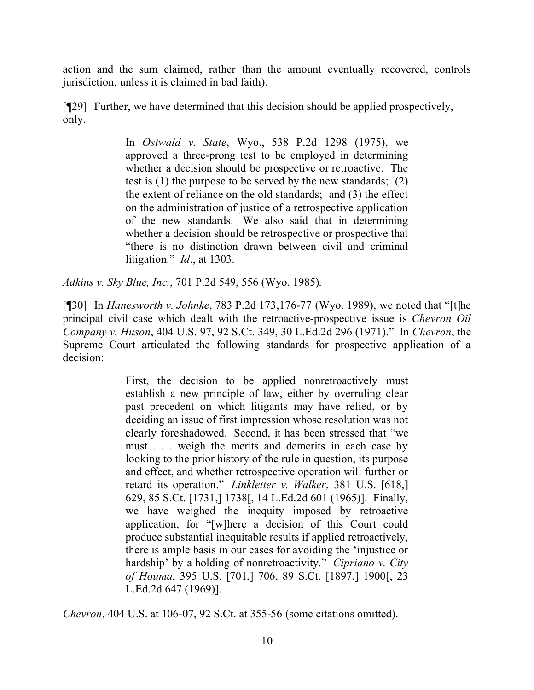action and the sum claimed, rather than the amount eventually recovered, controls jurisdiction, unless it is claimed in bad faith).

[¶29] Further, we have determined that this decision should be applied prospectively, only.

> In *Ostwald v. State*, Wyo., 538 P.2d 1298 (1975), we approved a three-prong test to be employed in determining whether a decision should be prospective or retroactive. The test is (1) the purpose to be served by the new standards; (2) the extent of reliance on the old standards; and (3) the effect on the administration of justice of a retrospective application of the new standards. We also said that in determining whether a decision should be retrospective or prospective that "there is no distinction drawn between civil and criminal litigation." *Id*., at 1303.

*Adkins v. Sky Blue, Inc.*, 701 P.2d 549, 556 (Wyo. 1985).

[¶30] In *Hanesworth v. Johnke*, 783 P.2d 173,176-77 (Wyo. 1989), we noted that "[t]he principal civil case which dealt with the retroactive-prospective issue is *Chevron Oil Company v. Huson*, 404 U.S. 97, 92 S.Ct. 349, 30 L.Ed.2d 296 (1971)." In *Chevron*, the Supreme Court articulated the following standards for prospective application of a decision:

> First, the decision to be applied nonretroactively must establish a new principle of law, either by overruling clear past precedent on which litigants may have relied, or by deciding an issue of first impression whose resolution was not clearly foreshadowed. Second, it has been stressed that "we must . . . weigh the merits and demerits in each case by looking to the prior history of the rule in question, its purpose and effect, and whether retrospective operation will further or retard its operation." *Linkletter v. Walker*, 381 U.S. [618,] 629, 85 S.Ct. [1731,] 1738[, 14 L.Ed.2d 601 (1965)]. Finally, we have weighed the inequity imposed by retroactive application, for "[w]here a decision of this Court could produce substantial inequitable results if applied retroactively, there is ample basis in our cases for avoiding the 'injustice or hardship' by a holding of nonretroactivity." *Cipriano v. City of Houma*, 395 U.S. [701,] 706, 89 S.Ct. [1897,] 1900[, 23 L.Ed.2d 647 (1969)].

*Chevron*, 404 U.S. at 106-07, 92 S.Ct. at 355-56 (some citations omitted).